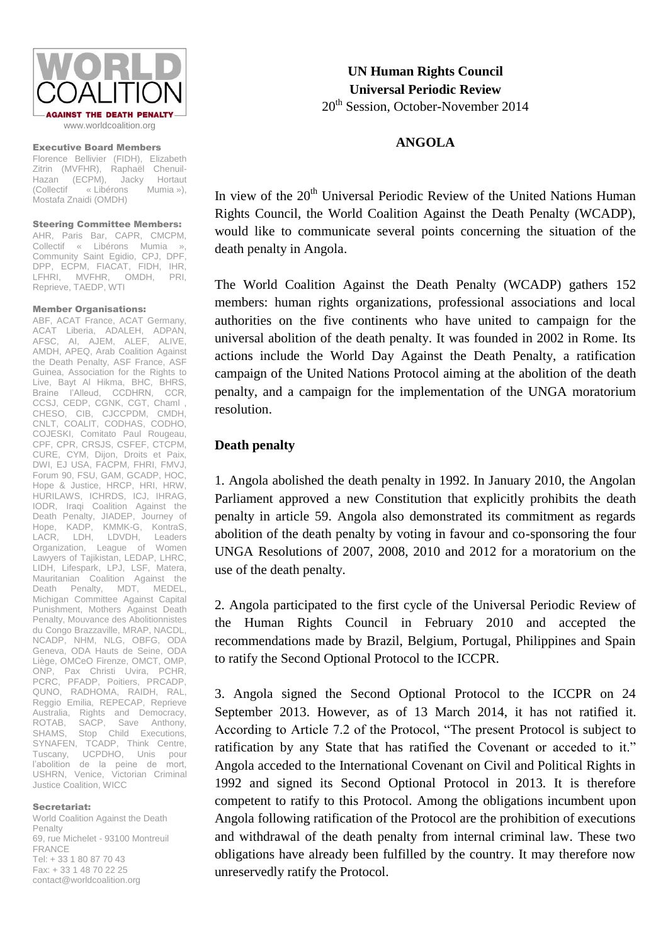

Executive Board Members

Florence Bellivier (FIDH), Elizabeth Zitrin (MVFHR), Raphaël Chenuil-Hazan (ECPM), Jacky Hortaut<br>(Collectif «Libérons Mumia »), « Libérons Mostafa Znaidi (OMDH)

Steering Committee Members: AHR, Paris Bar, CAPR, CMCPM, Collectif « Libérons Mumia Community Saint Egidio, CPJ, DPF, DPP, ECPM, FIACAT, FIDH, IHR,<br>LFHRI, MVFHR, OMDH, PRI, LFHRI, MVFHR, Reprieve, TAEDP, WTI

## Member Organisations:

ABF, ACAT France, ACAT Germany, ACAT Liberia, ADALEH, ADPAN, AFSC, AI, AJEM, ALEF, ALIVE, AMDH, APEQ, Arab Coalition Against the Death Penalty, ASF France, ASF Guinea, Association for the Rights to Live, Bayt Al Hikma, BHC, BHRS, Braine l'Alleud, CCDHRN, CCR, CCSJ, CEDP, CGNK, CGT, Chaml , CHESO, CIB, CJCCPDM, CMDH, CNLT, COALIT, CODHAS, CODHO, COJESKI, Comitato Paul Rougeau, CPF, CPR, CRSJS, CSFEF, CTCPM. CURE, CYM, Dijon, Droits et Paix, DWI, EJ USA, FACPM, FHRI, FMVJ, Forum 90, FSU, GAM, GCADP, HOC, Hope & Justice, HRCP, HRI, HRW, HURILAWS, ICHRDS, ICJ, IHRAG, IODR, Iraqi Coalition Against the Death Penalty, JIADEP, Journey of Hope, KADP, KMMK-G, KontraS, LACR, LDH, LDVDH, Leaders Organization, League of Women Lawyers of Tajikistan, LEDAP, LHRC, LIDH, Lifespark, LPJ, LSF, Matera, Mauritanian Coalition Against the Death Penalty, MDT, MEDEL, Michigan Committee Against Capital Punishment, Mothers Against Death Penalty, Mouvance des Abolitionnistes du Congo Brazzaville, MRAP, NACDL, NCADP, NHM, NLG, OBFG, ODA Geneva, ODA Hauts de Seine, ODA Liège, OMCeO Firenze, OMCT, OMP, ONP, Pax Christi Uvira, PCHR, PCRC, PFADP, Poitiers, PRCADP, QUNO, RADHOMA, RAIDH, RAL, Reggio Emilia, REPECAP, Reprieve Australia, Rights and Democracy, ROTAB, SACP, Save Anthony, SHAMS, Stop Child Executions, SYNAFEN, TCADP, Think Centre, Tuscany, UCPDHO, Unis pour l'abolition de la peine de mort, USHRN, Venice, Victorian Criminal Justice Coalition, WICC

## Secretariat:

World Coalition Against the Death Penalty 69, rue Michelet - 93100 Montreuil FRANCE Tel: + 33 1 80 87 70 43  $Fay + 33 1 48 70 22 25$ contact@worldcoalition.org

**UN Human Rights Council Universal Periodic Review** 20<sup>th</sup> Session, October-November 2014

## **ANGOLA**

In view of the 20<sup>th</sup> Universal Periodic Review of the United Nations Human Rights Council, the World Coalition Against the Death Penalty (WCADP), would like to communicate several points concerning the situation of the death penalty in Angola.

The World Coalition Against the Death Penalty (WCADP) gathers 152 members: human rights organizations, professional associations and local authorities on the five continents who have united to campaign for the universal abolition of the death penalty. It was founded in 2002 in Rome. Its actions include the World Day Against the Death Penalty, a ratification campaign of the United Nations Protocol aiming at the abolition of the death penalty, and a campaign for the implementation of the UNGA moratorium resolution.

## **Death penalty**

1. Angola abolished the death penalty in 1992. In January 2010, the Angolan Parliament approved a new Constitution that explicitly prohibits the death penalty in article 59. Angola also demonstrated its commitment as regards abolition of the death penalty by voting in favour and co-sponsoring the four UNGA Resolutions of 2007, 2008, 2010 and 2012 for a moratorium on the use of the death penalty.

2. Angola participated to the first cycle of the Universal Periodic Review of the Human Rights Council in February 2010 and accepted the recommendations made by Brazil, Belgium, Portugal, Philippines and Spain to ratify the Second Optional Protocol to the ICCPR.

3. Angola signed the Second Optional Protocol to the ICCPR on 24 September 2013. However, as of 13 March 2014, it has not ratified it. According to Article 7.2 of the Protocol, "The present Protocol is subject to ratification by any State that has ratified the Covenant or acceded to it." Angola acceded to the International Covenant on Civil and Political Rights in 1992 and signed its Second Optional Protocol in 2013. It is therefore competent to ratify to this Protocol. Among the obligations incumbent upon Angola following ratification of the Protocol are the prohibition of executions and withdrawal of the death penalty from internal criminal law. These two obligations have already been fulfilled by the country. It may therefore now unreservedly ratify the Protocol.